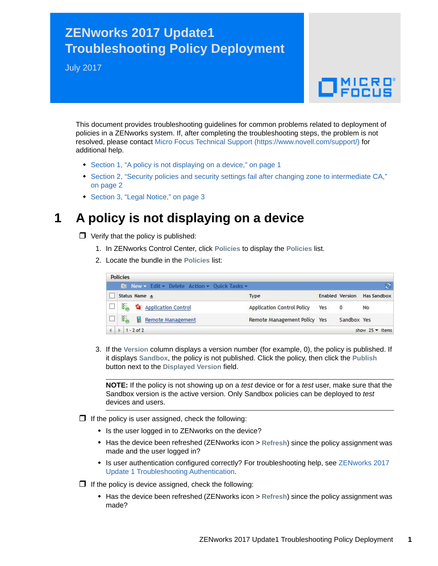## **ZENworks 2017 Update1 Troubleshooting Policy Deployment**

July 2017

# $\Box$ MICRO

This document provides troubleshooting guidelines for common problems related to deployment of policies in a ZENworks system. If, after completing the troubleshooting steps, the problem is not resolved, please contact [Micro Focus Technical Support](https://www.novell.com/support/) (https://www.novell.com/support/) for additional help.

- [Section 1, "A policy is not displaying on a device," on page 1](#page-0-0)
- [Section 2, "Security policies and security settings fail after changing zone to intermediate CA,"](#page-1-0)  [on page 2](#page-1-0)
- [Section 3, "Legal Notice," on page 3](#page-2-0)

#### <span id="page-0-0"></span>**1 A policy is not displaying on a device**

- $\Box$  Verify that the policy is published:
	- 1. In ZENworks Control Center, click **Policies** to display the **Policies** list.
	- 2. Locate the bundle in the **Policies** list:

| <b>Policies</b> |                                                     |                                   |     |                        |                        |
|-----------------|-----------------------------------------------------|-----------------------------------|-----|------------------------|------------------------|
|                 | <b>E</b> New v Edit v Delete Action v Quick Tasks v |                                   |     |                        |                        |
|                 | Status Name $\triangle$                             | <b>Type</b>                       |     | <b>Enabled Version</b> | <b>Has Sandbox</b>     |
|                 | <b>E Application Control</b>                        | <b>Application Control Policy</b> | Yes | $\overline{0}$         | <b>No</b>              |
|                 | 医<br>Remote Management                              | Remote Management Policy Yes      |     | Sandbox Yes            |                        |
|                 | $1 - 2$ of 2                                        |                                   |     |                        | show $25 \times$ items |

3. If the **Version** column displays a version number (for example, 0), the policy is published. If it displays **Sandbox**, the policy is not published. Click the policy, then click the **Publish** button next to the **Displayed Version** field.

**NOTE:** If the policy is not showing up on a *test* device or for a *test* user, make sure that the Sandbox version is the active version. Only Sandbox policies can be deployed to *test* devices and users.

- $\Box$  If the policy is user assigned, check the following:
	- Is the user logged in to ZENworks on the device?
	- Has the device been refreshed (ZENworks icon > **Refresh**) since the policy assignment was made and the user logged in?
	- [Is user authentication configured correctly? For troubleshooting help, see Z](https://www.novell.com/documentation/zenworks2017/pdfdoc/zen_troubleshooting_authentication/zen_troubleshooting_authentication.pdf#zentroubleshootingauthentication)ENworks 2017 Update 1 Troubleshooting Authentication.
- $\Box$  If the policy is device assigned, check the following:
	- Has the device been refreshed (ZENworks icon > **Refresh**) since the policy assignment was made?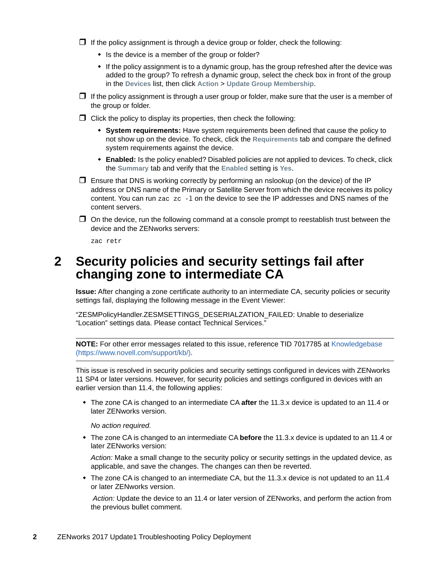$\Box$  If the policy assignment is through a device group or folder, check the following:

- Is the device is a member of the group or folder?
- If the policy assignment is to a dynamic group, has the group refreshed after the device was added to the group? To refresh a dynamic group, select the check box in front of the group in the **Devices** list, then click **Action** > **Update Group Membership**.
- $\Box$  If the policy assignment is through a user group or folder, make sure that the user is a member of the group or folder.
- $\Box$  Click the policy to display its properties, then check the following:
	- **System requirements:** Have system requirements been defined that cause the policy to not show up on the device. To check, click the **Requirements** tab and compare the defined system requirements against the device.
	- **Enabled:** Is the policy enabled? Disabled policies are not applied to devices. To check, click the **Summary** tab and verify that the **Enabled** setting is **Yes**.
- $\Box$  Ensure that DNS is working correctly by performing an nslookup (on the device) of the IP address or DNS name of the Primary or Satellite Server from which the device receives its policy content. You can run  $zac zc -1$  on the device to see the IP addresses and DNS names of the content servers.
- $\Box$  On the device, run the following command at a console prompt to reestablish trust between the device and the ZENworks servers:

zac retr

#### <span id="page-1-0"></span>**2 Security policies and security settings fail after changing zone to intermediate CA**

**Issue:** After changing a zone certificate authority to an intermediate CA, security policies or security settings fail, displaying the following message in the Event Viewer:

"ZESMPolicyHandler.ZESMSETTINGS\_DESERIALZATION\_FAILED: Unable to deserialize "Location" settings data. Please contact Technical Services."

**NOTE:** For other error messages related to this issue, reference TID 7017785 at [Knowledgebase](https://www.novell.com/support/kb/)  (https://www.novell.com/support/kb/).

This issue is resolved in security policies and security settings configured in devices with ZENworks 11 SP4 or later versions. However, for security policies and settings configured in devices with an earlier version than 11.4, the following applies:

 The zone CA is changed to an intermediate CA **after** the 11.3.x device is updated to an 11.4 or later ZENworks version.

*No action required.*

 The zone CA is changed to an intermediate CA **before** the 11.3.x device is updated to an 11.4 or later ZENworks version:

*Action:* Make a small change to the security policy or security settings in the updated device, as applicable, and save the changes. The changes can then be reverted.

• The zone CA is changed to an intermediate CA, but the 11.3.x device is not updated to an 11.4 or later ZENworks version.

*Action:* Update the device to an 11.4 or later version of ZENworks, and perform the action from the previous bullet comment.